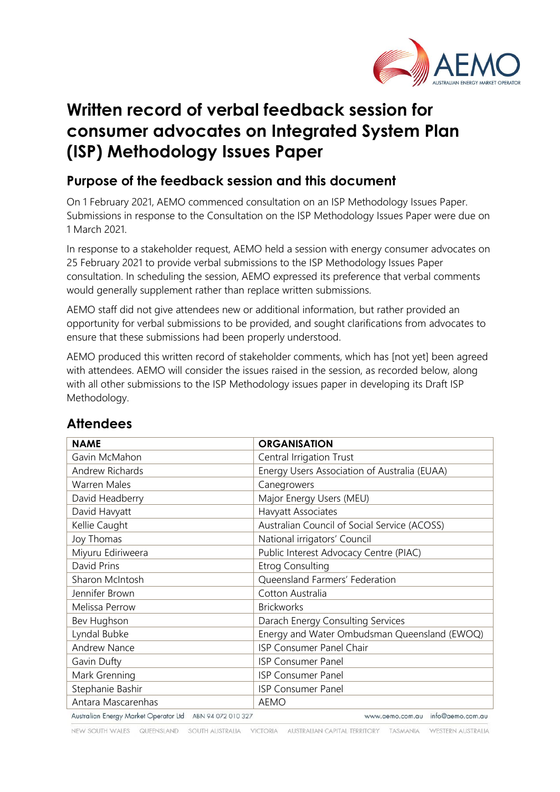

# **Written record of verbal feedback session for consumer advocates on Integrated System Plan (ISP) Methodology Issues Paper**

### **Purpose of the feedback session and this document**

On 1 February 2021, AEMO commenced consultation on an ISP Methodology Issues Paper. Submissions in response to the Consultation on the ISP Methodology Issues Paper were due on 1 March 2021.

In response to a stakeholder request, AEMO held a session with energy consumer advocates on 25 February 2021 to provide verbal submissions to the ISP Methodology Issues Paper consultation. In scheduling the session, AEMO expressed its preference that verbal comments would generally supplement rather than replace written submissions.

AEMO staff did not give attendees new or additional information, but rather provided an opportunity for verbal submissions to be provided, and sought clarifications from advocates to ensure that these submissions had been properly understood.

AEMO produced this written record of stakeholder comments, which has [not yet] been agreed with attendees. AEMO will consider the issues raised in the session, as recorded below, along with all other submissions to the ISP Methodology issues paper in developing its Draft ISP Methodology.

| <b>NAME</b>                                              | <b>ORGANISATION</b>                          |
|----------------------------------------------------------|----------------------------------------------|
| Gavin McMahon                                            | Central Irrigation Trust                     |
| <b>Andrew Richards</b>                                   | Energy Users Association of Australia (EUAA) |
| <b>Warren Males</b>                                      | Canegrowers                                  |
| David Headberry                                          | Major Energy Users (MEU)                     |
| David Havyatt                                            | Havyatt Associates                           |
| Kellie Caught                                            | Australian Council of Social Service (ACOSS) |
| Joy Thomas                                               | National irrigators' Council                 |
| Miyuru Ediriweera                                        | Public Interest Advocacy Centre (PIAC)       |
| David Prins                                              | <b>Etrog Consulting</b>                      |
| Sharon McIntosh                                          | Queensland Farmers' Federation               |
| Jennifer Brown                                           | Cotton Australia                             |
| Melissa Perrow                                           | <b>Brickworks</b>                            |
| Bev Hughson                                              | Darach Energy Consulting Services            |
| Lyndal Bubke                                             | Energy and Water Ombudsman Queensland (EWOQ) |
| <b>Andrew Nance</b>                                      | ISP Consumer Panel Chair                     |
| Gavin Dufty                                              | <b>ISP Consumer Panel</b>                    |
| Mark Grenning                                            | <b>ISP Consumer Panel</b>                    |
| Stephanie Bashir                                         | <b>ISP Consumer Panel</b>                    |
| Antara Mascarenhas                                       | AEMO                                         |
| Australian Energy Market Operator Ltd ABN 94 072 010 327 | www.aemo.com.au info@aemo.com.au             |

## **Attendees**

NEW SOUTH WALES QUEENSLAND SOUTH AUSTRALIA VICTORIA AUSTRALIAN CAPITAL TERRITORY TASMANIA WESTERN AUSTRALIA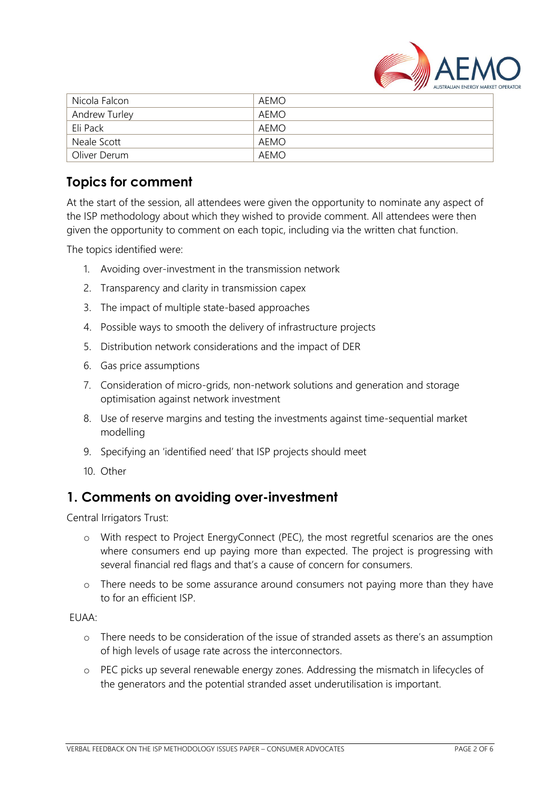

| Nicola Falcon        | AEMO |
|----------------------|------|
| <b>Andrew Turley</b> | AEMO |
| Eli Pack             | AEMO |
| Neale Scott          | AEMO |
| Oliver Derum         | AEMO |

### **Topics for comment**

At the start of the session, all attendees were given the opportunity to nominate any aspect of the ISP methodology about which they wished to provide comment. All attendees were then given the opportunity to comment on each topic, including via the written chat function.

The topics identified were:

- 1. Avoiding over-investment in the transmission network
- 2. Transparency and clarity in transmission capex
- 3. The impact of multiple state-based approaches
- 4. Possible ways to smooth the delivery of infrastructure projects
- 5. Distribution network considerations and the impact of DER
- 6. Gas price assumptions
- 7. Consideration of micro-grids, non-network solutions and generation and storage optimisation against network investment
- 8. Use of reserve margins and testing the investments against time-sequential market modelling
- 9. Specifying an 'identified need' that ISP projects should meet
- 10. Other

#### **1. Comments on avoiding over-investment**

Central Irrigators Trust:

- o With respect to Project EnergyConnect (PEC), the most regretful scenarios are the ones where consumers end up paying more than expected. The project is progressing with several financial red flags and that's a cause of concern for consumers.
- o There needs to be some assurance around consumers not paying more than they have to for an efficient ISP.

#### EUAA:

- o There needs to be consideration of the issue of stranded assets as there's an assumption of high levels of usage rate across the interconnectors.
- o PEC picks up several renewable energy zones. Addressing the mismatch in lifecycles of the generators and the potential stranded asset underutilisation is important.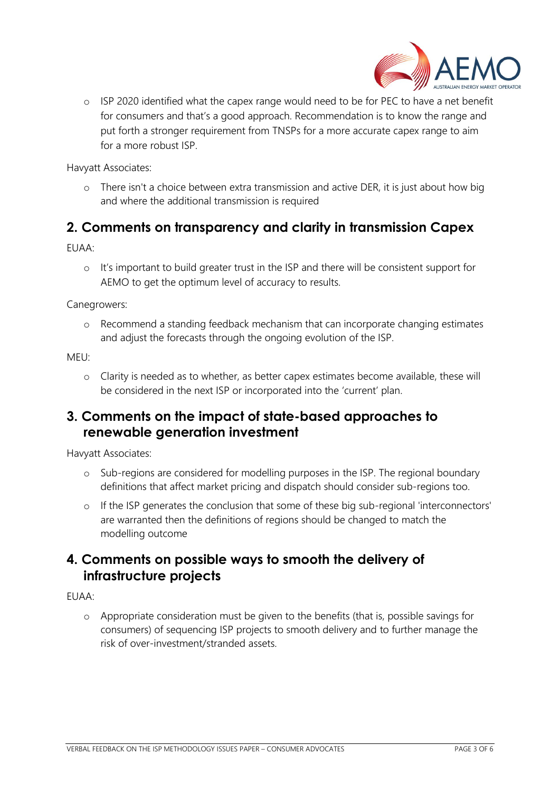

o ISP 2020 identified what the capex range would need to be for PEC to have a net benefit for consumers and that's a good approach. Recommendation is to know the range and put forth a stronger requirement from TNSPs for a more accurate capex range to aim for a more robust ISP.

Havyatt Associates:

o There isn't a choice between extra transmission and active DER, it is just about how big and where the additional transmission is required

### **2. Comments on transparency and clarity in transmission Capex**

EUAA:

o It's important to build greater trust in the ISP and there will be consistent support for AEMO to get the optimum level of accuracy to results.

Canegrowers:

o Recommend a standing feedback mechanism that can incorporate changing estimates and adjust the forecasts through the ongoing evolution of the ISP.

MEU:

o Clarity is needed as to whether, as better capex estimates become available, these will be considered in the next ISP or incorporated into the 'current' plan.

#### **3. Comments on the impact of state-based approaches to renewable generation investment**

Havyatt Associates:

- o Sub-regions are considered for modelling purposes in the ISP. The regional boundary definitions that affect market pricing and dispatch should consider sub-regions too.
- o If the ISP generates the conclusion that some of these big sub-regional 'interconnectors' are warranted then the definitions of regions should be changed to match the modelling outcome

#### **4. Comments on possible ways to smooth the delivery of infrastructure projects**

EUAA:

o Appropriate consideration must be given to the benefits (that is, possible savings for consumers) of sequencing ISP projects to smooth delivery and to further manage the risk of over-investment/stranded assets.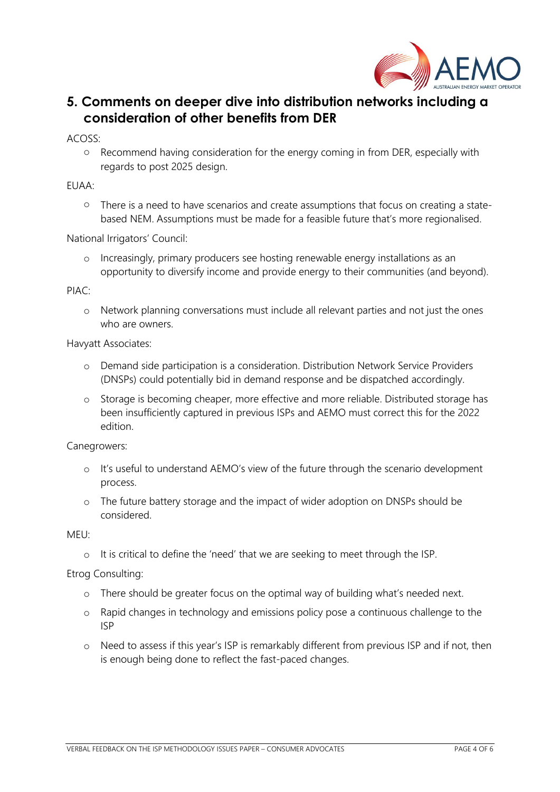

### **5. Comments on deeper dive into distribution networks including a consideration of other benefits from DER**

ACOSS:

o Recommend having consideration for the energy coming in from DER, especially with regards to post 2025 design.

#### EUAA:

o There is a need to have scenarios and create assumptions that focus on creating a statebased NEM. Assumptions must be made for a feasible future that's more regionalised.

National Irrigators' Council:

o Increasingly, primary producers see hosting renewable energy installations as an opportunity to diversify income and provide energy to their communities (and beyond).

#### PIAC:

o Network planning conversations must include all relevant parties and not just the ones who are owners.

#### Havyatt Associates:

- o Demand side participation is a consideration. Distribution Network Service Providers (DNSPs) could potentially bid in demand response and be dispatched accordingly.
- o Storage is becoming cheaper, more effective and more reliable. Distributed storage has been insufficiently captured in previous ISPs and AEMO must correct this for the 2022 edition.

Canegrowers:

- o It's useful to understand AEMO's view of the future through the scenario development process.
- o The future battery storage and the impact of wider adoption on DNSPs should be considered.

MEU:

o It is critical to define the 'need' that we are seeking to meet through the ISP.

Etrog Consulting:

- o There should be greater focus on the optimal way of building what's needed next.
- o Rapid changes in technology and emissions policy pose a continuous challenge to the ISP
- o Need to assess if this year's ISP is remarkably different from previous ISP and if not, then is enough being done to reflect the fast-paced changes.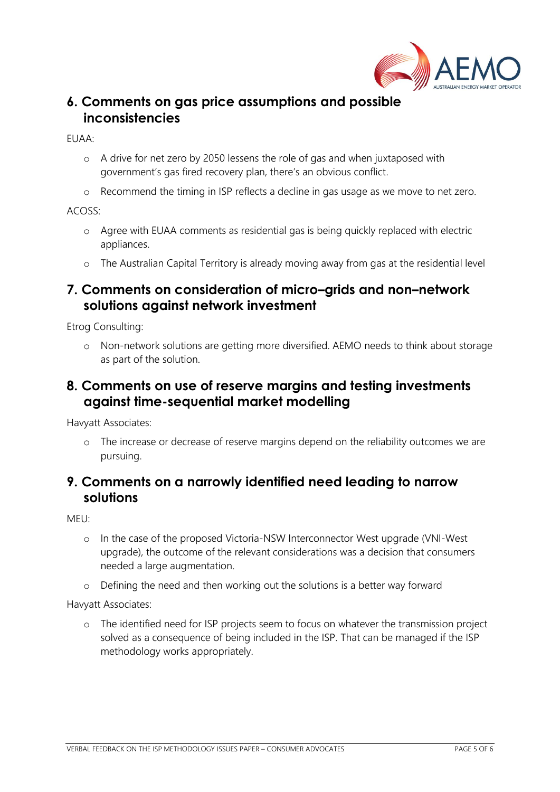

#### **6. Comments on gas price assumptions and possible inconsistencies**

EUAA:

- o A drive for net zero by 2050 lessens the role of gas and when juxtaposed with government's gas fired recovery plan, there's an obvious conflict.
- o Recommend the timing in ISP reflects a decline in gas usage as we move to net zero.

ACOSS:

- o Agree with EUAA comments as residential gas is being quickly replaced with electric appliances.
- o The Australian Capital Territory is already moving away from gas at the residential level

#### **7. Comments on consideration of micro–grids and non–network solutions against network investment**

Etrog Consulting:

o Non-network solutions are getting more diversified. AEMO needs to think about storage as part of the solution.

#### **8. Comments on use of reserve margins and testing investments against time-sequential market modelling**

Havyatt Associates:

o The increase or decrease of reserve margins depend on the reliability outcomes we are pursuing.

### **9. Comments on a narrowly identified need leading to narrow solutions**

MEU:

- o In the case of the proposed Victoria-NSW Interconnector West upgrade (VNI-West upgrade), the outcome of the relevant considerations was a decision that consumers needed a large augmentation.
- o Defining the need and then working out the solutions is a better way forward

Havyatt Associates:

o The identified need for ISP projects seem to focus on whatever the transmission project solved as a consequence of being included in the ISP. That can be managed if the ISP methodology works appropriately.